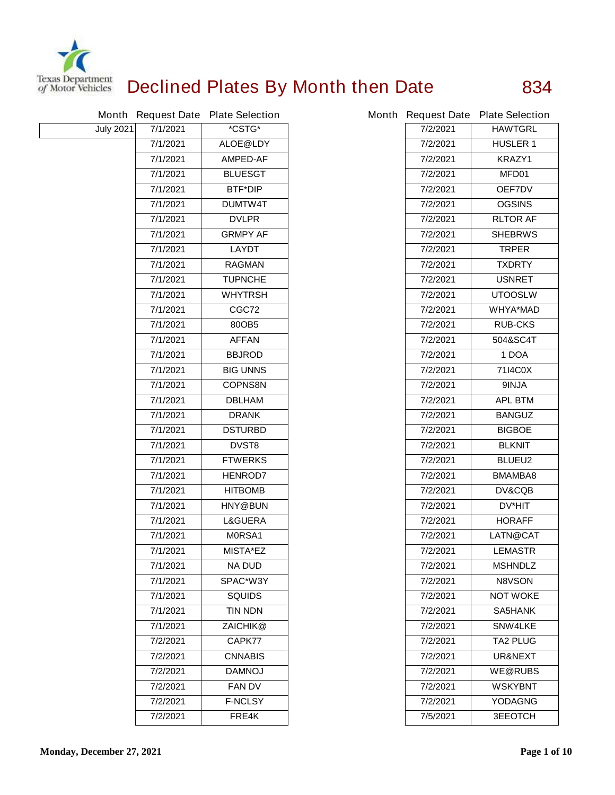

## **Declined Plates By Month then Date 834**

|                  |          | Month Request Date Plate Selection |          | Month Request Date Plate Selection |
|------------------|----------|------------------------------------|----------|------------------------------------|
| <b>July 2021</b> | 7/1/2021 | *CSTG*                             | 7/2/2021 | <b>HAWTGRL</b>                     |
|                  | 7/1/2021 | <b>ALOE@LDY</b>                    | 7/2/2021 | <b>HUSLER 1</b>                    |
|                  | 7/1/2021 | <b>AMPED-AF</b>                    | 7/2/2021 | <b>KRAZY1</b>                      |
|                  | 7/1/2021 | <b>BLUESGT</b>                     | 7/2/2021 | MFD01                              |
|                  | 7/1/2021 | <b>BTF*DIP</b>                     | 7/2/2021 | OEF7DV                             |
|                  | 7/1/2021 | <b>DUMTW4T</b>                     | 7/2/2021 | <b>OGSINS</b>                      |
|                  | 7/1/2021 | <b>DVLPR</b>                       | 7/2/2021 | <b>RLTOR AF</b>                    |
|                  | 7/1/2021 | <b>GRMPY AF</b>                    | 7/2/2021 | <b>SHEBRWS</b>                     |
|                  | 7/1/2021 | <b>LAYDT</b>                       | 7/2/2021 | <b>TRPER</b>                       |
|                  | 7/1/2021 | <b>RAGMAN</b>                      | 7/2/2021 | <b>TXDRTY</b>                      |
|                  | 7/1/2021 | <b>TUPNCHE</b>                     | 7/2/2021 | <b>USNRET</b>                      |
|                  | 7/1/2021 | <b>WHYTRSH</b>                     | 7/2/2021 | <b>UTOOSLW</b>                     |
|                  | 7/1/2021 | CGC72                              | 7/2/2021 | <b>WHYA*MAD</b>                    |
|                  | 7/1/2021 | 80OB5                              | 7/2/2021 | <b>RUB-CKS</b>                     |
|                  | 7/1/2021 | <b>AFFAN</b>                       | 7/2/2021 | 504&SC4T                           |
|                  | 7/1/2021 | <b>BBJROD</b>                      | 7/2/2021 | 1 DOA                              |
|                  | 7/1/2021 | <b>BIG UNNS</b>                    | 7/2/2021 | 7114C0X                            |
|                  | 7/1/2021 | <b>COPNS8N</b>                     | 7/2/2021 | 9INJA                              |
|                  | 7/1/2021 | <b>DBLHAM</b>                      | 7/2/2021 | <b>APL BTM</b>                     |
|                  | 7/1/2021 | <b>DRANK</b>                       | 7/2/2021 | <b>BANGUZ</b>                      |
|                  | 7/1/2021 | <b>DSTURBD</b>                     | 7/2/2021 | <b>BIGBOE</b>                      |
|                  | 7/1/2021 | <b>DVST8</b>                       | 7/2/2021 | <b>BLKNIT</b>                      |
|                  | 7/1/2021 | <b>FTWERKS</b>                     | 7/2/2021 | <b>BLUEU2</b>                      |
|                  | 7/1/2021 | <b>HENROD7</b>                     | 7/2/2021 | BMAMBA8                            |
|                  | 7/1/2021 | <b>HITBOMB</b>                     | 7/2/2021 | <b>DV&amp;CQB</b>                  |
|                  | 7/1/2021 | <b>HNY@BUN</b>                     | 7/2/2021 | DV*HIT                             |
|                  | 7/1/2021 | <b>L&amp;GUERA</b>                 | 7/2/2021 | <b>HORAFF</b>                      |
|                  | 7/1/2021 | M0RSA1                             | 7/2/2021 | LATN@CAT                           |
|                  | 7/1/2021 | <b>MISTA*EZ</b>                    | 7/2/2021 | <b>LEMASTR</b>                     |
|                  | 7/1/2021 | <b>NA DUD</b>                      | 7/2/2021 | <b>MSHNDLZ</b>                     |
|                  | 7/1/2021 | SPAC*W3Y                           | 7/2/2021 | <b>N8VSON</b>                      |
|                  | 7/1/2021 | <b>SQUIDS</b>                      | 7/2/2021 | <b>NOT WOKE</b>                    |
|                  | 7/1/2021 | <b>TIN NDN</b>                     | 7/2/2021 | <b>SA5HANK</b>                     |
|                  | 7/1/2021 | ZAICHIK@                           | 7/2/2021 | <b>SNW4LKE</b>                     |
|                  | 7/2/2021 | CAPK77                             | 7/2/2021 | <b>TA2 PLUG</b>                    |
|                  | 7/2/2021 | <b>CNNABIS</b>                     | 7/2/2021 | UR&NEXT                            |
|                  | 7/2/2021 | <b>DAMNOJ</b>                      | 7/2/2021 | <b>WE@RUBS</b>                     |
|                  | 7/2/2021 | <b>FAN DV</b>                      | 7/2/2021 | <b>WSKYBNT</b>                     |
|                  | 7/2/2021 | <b>F-NCLSY</b>                     | 7/2/2021 | <b>YODAGNG</b>                     |
|                  | 7/2/2021 | FRE4K                              | 7/5/2021 | <b>3EEOTCH</b>                     |

|          | ith Request Date Plate Selection |
|----------|----------------------------------|
| 7/2/2021 | <b>HAWTGRL</b>                   |
| 7/2/2021 | <b>HUSLER 1</b>                  |
| 7/2/2021 | <b>KRAZY1</b>                    |
| 7/2/2021 | MFD01                            |
| 7/2/2021 | <b>OEF7DV</b>                    |
| 7/2/2021 | <b>OGSINS</b>                    |
| 7/2/2021 | <b>RLTOR AF</b>                  |
| 7/2/2021 | <b>SHEBRWS</b>                   |
| 7/2/2021 | <b>TRPER</b>                     |
| 7/2/2021 | <b>TXDRTY</b>                    |
| 7/2/2021 | <b>USNRET</b>                    |
| 7/2/2021 | <b>UTOOSLW</b>                   |
| 7/2/2021 | <b>WHYA*MAD</b>                  |
| 7/2/2021 | <b>RUB-CKS</b>                   |
| 7/2/2021 | 504&SC4T                         |
| 7/2/2021 | 1 DOA                            |
| 7/2/2021 | 7114C0X                          |
| 7/2/2021 | <b>ALNIE</b>                     |
| 7/2/2021 | <b>APL BTM</b>                   |
| 7/2/2021 | <b>BANGUZ</b>                    |
| 7/2/2021 | <b>BIGBOE</b>                    |
| 7/2/2021 | <b>BLKNIT</b>                    |
| 7/2/2021 | <b>BLUEU2</b>                    |
| 7/2/2021 | <b>BMAMBA8</b>                   |
| 7/2/2021 | <b>DV&amp;CQB</b>                |
| 7/2/2021 | <b>DV*HIT</b>                    |
| 7/2/2021 | <b>HORAFF</b>                    |
| 7/2/2021 | <b>LATN@CAT</b>                  |
| 7/2/2021 | <b>LEMASTR</b>                   |
| 7/2/2021 | <b>MSHNDLZ</b>                   |
| 7/2/2021 | <b>N8VSON</b>                    |
| 7/2/2021 | NOT WOKE                         |
| 7/2/2021 | SA5HANK                          |
| 7/2/2021 | <b>SNW4LKE</b>                   |
| 7/2/2021 | TA2 PLUG                         |
| 7/2/2021 | <b>UR&amp;NEXT</b>               |
| 7/2/2021 | <b>WE@RUBS</b>                   |
| 7/2/2021 | WSKYBNT                          |
| 7/2/2021 | YODAGNG                          |
| 7/5/2021 | <b>3EEOTCH</b>                   |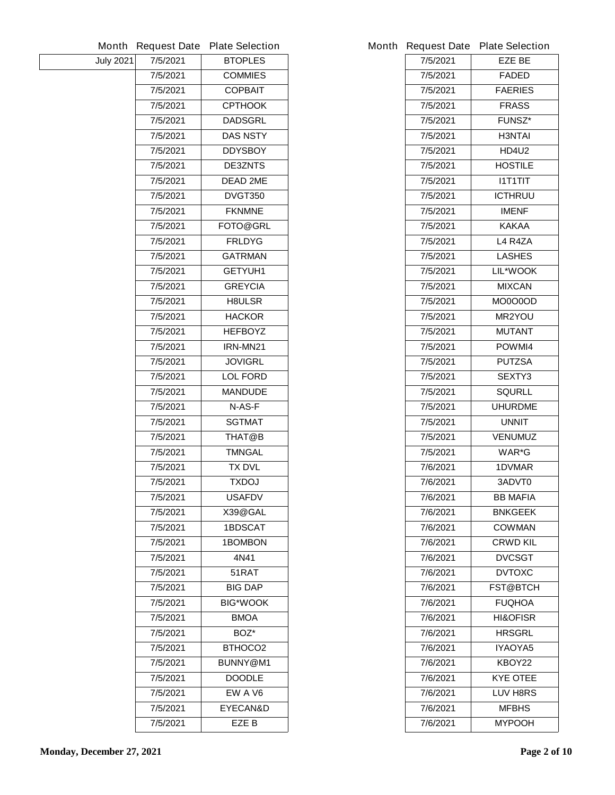| Month            | <b>Request Date</b> | <b>Plate Selection</b> |          | Month Request Date Plate Selection |
|------------------|---------------------|------------------------|----------|------------------------------------|
| <b>July 2021</b> | 7/5/2021            | <b>BTOPLES</b>         | 7/5/2021 | <b>EZE BE</b>                      |
|                  | 7/5/2021            | <b>COMMIES</b>         | 7/5/2021 | <b>FADED</b>                       |
|                  | 7/5/2021            | <b>COPBAIT</b>         | 7/5/2021 | <b>FAERIES</b>                     |
|                  | 7/5/2021            | <b>CPTHOOK</b>         | 7/5/2021 | <b>FRASS</b>                       |
|                  | 7/5/2021            | <b>DADSGRL</b>         | 7/5/2021 | <b>FUNSZ*</b>                      |
|                  | 7/5/2021            | <b>DAS NSTY</b>        | 7/5/2021 | <b>H3NTAI</b>                      |
|                  | 7/5/2021            | <b>DDYSBOY</b>         | 7/5/2021 | <b>HD4U2</b>                       |
|                  | 7/5/2021            | <b>DE3ZNTS</b>         | 7/5/2021 | <b>HOSTILE</b>                     |
|                  | 7/5/2021            | <b>DEAD 2ME</b>        | 7/5/2021 | <b>I1T1TIT</b>                     |
|                  | 7/5/2021            | <b>DVGT350</b>         | 7/5/2021 | <b>ICTHRUU</b>                     |
|                  | 7/5/2021            | <b>FKNMNE</b>          | 7/5/2021 | <b>IMENF</b>                       |
|                  | 7/5/2021            | FOTO@GRL               | 7/5/2021 | <b>KAKAA</b>                       |
|                  | 7/5/2021            | <b>FRLDYG</b>          | 7/5/2021 | L4 R4ZA                            |
|                  | 7/5/2021            | <b>GATRMAN</b>         | 7/5/2021 | <b>LASHES</b>                      |
|                  | 7/5/2021            | <b>GETYUH1</b>         | 7/5/2021 | LIL*WOOK                           |
|                  | 7/5/2021            | <b>GREYCIA</b>         | 7/5/2021 | <b>MIXCAN</b>                      |
|                  | 7/5/2021            | <b>H8ULSR</b>          | 7/5/2021 | <b>MO0O0OD</b>                     |
|                  | 7/5/2021            | <b>HACKOR</b>          | 7/5/2021 | <b>MR2YOU</b>                      |
|                  | 7/5/2021            | <b>HEFBOYZ</b>         | 7/5/2021 | <b>MUTANT</b>                      |
|                  | 7/5/2021            | IRN-MN21               | 7/5/2021 | POWMI4                             |
|                  | 7/5/2021            | <b>JOVIGRL</b>         | 7/5/2021 | <b>PUTZSA</b>                      |
|                  | 7/5/2021            | <b>LOL FORD</b>        | 7/5/2021 | <b>SEXTY3</b>                      |
|                  | 7/5/2021            | <b>MANDUDE</b>         | 7/5/2021 | <b>SQURLL</b>                      |
|                  | 7/5/2021            | N-AS-F                 | 7/5/2021 | <b>UHURDME</b>                     |
|                  | 7/5/2021            | <b>SGTMAT</b>          | 7/5/2021 | <b>UNNIT</b>                       |
|                  | 7/5/2021            | THAT@B                 | 7/5/2021 | <b>VENUMUZ</b>                     |
|                  | 7/5/2021            | <b>TMNGAL</b>          | 7/5/2021 | WAR*G                              |
|                  | 7/5/2021            | <b>TX DVL</b>          | 7/6/2021 | 1DVMAR                             |
|                  | 7/5/2021            | <b>TXDOJ</b>           | 7/6/2021 | 3ADVT0                             |
|                  | 7/5/2021            | <b>USAFDV</b>          | 7/6/2021 | <b>BB MAFIA</b>                    |
|                  | 7/5/2021            | X39@GAL                | 7/6/2021 | <b>BNKGEEK</b>                     |
|                  | 7/5/2021            | <b>1BDSCAT</b>         | 7/6/2021 | <b>COWMAN</b>                      |
|                  | 7/5/2021            | <b>1BOMBON</b>         | 7/6/2021 | <b>CRWD KIL</b>                    |
|                  | 7/5/2021            | 4N41                   | 7/6/2021 | <b>DVCSGT</b>                      |
|                  | 7/5/2021            | 51RAT                  | 7/6/2021 | <b>DVTOXC</b>                      |
|                  | 7/5/2021            | <b>BIG DAP</b>         | 7/6/2021 | <b>FST@BTCH</b>                    |
|                  | 7/5/2021            | <b>BIG*WOOK</b>        | 7/6/2021 | <b>FUQHOA</b>                      |
|                  | 7/5/2021            | <b>BMOA</b>            | 7/6/2021 | <b>HI&amp;OFISR</b>                |
|                  | 7/5/2021            | BOZ*                   | 7/6/2021 | <b>HRSGRL</b>                      |
|                  | 7/5/2021            | <b>BTHOCO2</b>         | 7/6/2021 | IYAOYA5                            |
|                  | 7/5/2021            | BUNNY@M1               | 7/6/2021 | KBOY22                             |
|                  | 7/5/2021            | <b>DOODLE</b>          | 7/6/2021 | <b>KYE OTEE</b>                    |
|                  | 7/5/2021            | EW A V6                | 7/6/2021 | <b>LUV H8RS</b>                    |
|                  | 7/5/2021            | <b>EYECAN&amp;D</b>    | 7/6/2021 | <b>MFBHS</b>                       |
|                  | 7/5/2021            | EZE B                  | 7/6/2021 | <b>MYPOOH</b>                      |
|                  |                     |                        |          |                                    |

|          | <b>Request Date Plate Selection</b> |
|----------|-------------------------------------|
| 7/5/2021 | EZE BE                              |
| 7/5/2021 | <b>FADED</b>                        |
| 7/5/2021 | <b>FAERIES</b>                      |
| 7/5/2021 | <b>FRASS</b>                        |
| 7/5/2021 | <b>FUNSZ*</b>                       |
| 7/5/2021 | <b>H3NTAI</b>                       |
| 7/5/2021 | <b>HD4U2</b>                        |
| 7/5/2021 | <b>HOSTILE</b>                      |
| 7/5/2021 | <b>I1T1TIT</b>                      |
| 7/5/2021 | <b>ICTHRUU</b>                      |
| 7/5/2021 | <b>IMENF</b>                        |
| 7/5/2021 | <b>KAKAA</b>                        |
| 7/5/2021 | L4 R4ZA                             |
| 7/5/2021 | <b>LASHES</b>                       |
| 7/5/2021 | <b>LIL*WOOK</b>                     |
| 7/5/2021 | <b>MIXCAN</b>                       |
| 7/5/2021 | MO0O0OD                             |
| 7/5/2021 | <b>MR2YOU</b>                       |
| 7/5/2021 | <b>MUTANT</b>                       |
| 7/5/2021 | <b>POWMI4</b>                       |
| 7/5/2021 | <b>PUTZSA</b>                       |
| 7/5/2021 | <b>SEXTY3</b>                       |
| 7/5/2021 | SQURLL                              |
| 7/5/2021 | <b>UHURDME</b>                      |
| 7/5/2021 | <b>UNNIT</b>                        |
| 7/5/2021 | <b>VENUMUZ</b>                      |
| 7/5/2021 | WAR*G                               |
| 7/6/2021 | <b>1DVMAR</b>                       |
| 7/6/2021 | 3ADVT0                              |
| 7/6/2021 | <b>BB MAFIA</b>                     |
| 7/6/2021 | <b>BNKGEEK</b>                      |
| 7/6/2021 | <b>COWMAN</b>                       |
| 7/6/2021 | <b>CRWD KIL</b>                     |
| 7/6/2021 | <b>DVCSGT</b>                       |
| 7/6/2021 | <b>DVTOXC</b>                       |
| 7/6/2021 | <b>FST@BTCH</b>                     |
| 7/6/2021 | <b>FUQHOA</b>                       |
| 7/6/2021 | <b>HI&amp;OFISR</b>                 |
| 7/6/2021 | <b>HRSGRL</b>                       |
| 7/6/2021 | IYAOYA5                             |
| 7/6/2021 | KBOY22                              |
| 7/6/2021 | <b>KYE OTEE</b>                     |
| 7/6/2021 | <b>LUV H8RS</b>                     |
| 7/6/2021 | MFBHS                               |
| 7/6/2021 | <b>MYPOOH</b>                       |
|          |                                     |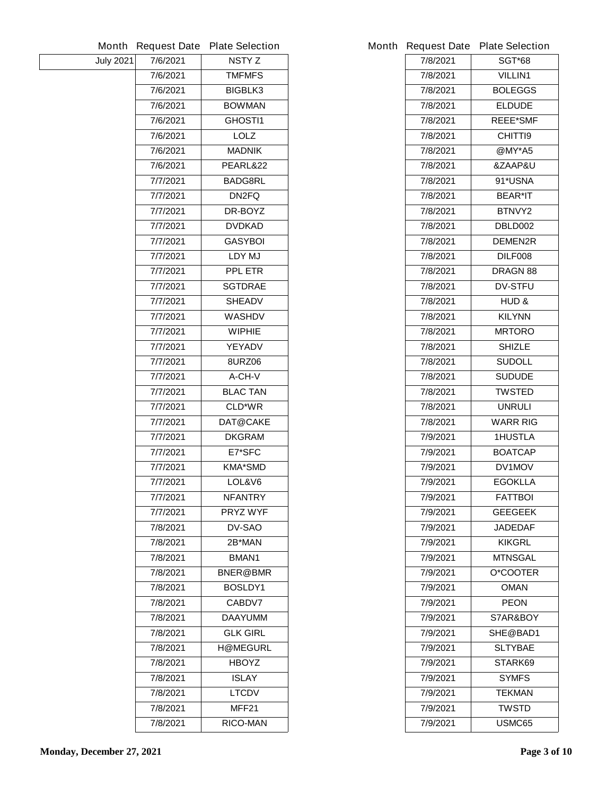|                  |          | Month Request Date Plate Selection |          | Month Request Date Plate Selection |
|------------------|----------|------------------------------------|----------|------------------------------------|
| <b>July 2021</b> | 7/6/2021 | <b>NSTYZ</b>                       | 7/8/2021 | <b>SGT*68</b>                      |
|                  | 7/6/2021 | <b>TMFMFS</b>                      | 7/8/2021 | <b>VILLIN1</b>                     |
|                  | 7/6/2021 | <b>BIGBLK3</b>                     | 7/8/2021 | <b>BOLEGGS</b>                     |
|                  | 7/6/2021 | <b>BOWMAN</b>                      | 7/8/2021 | <b>ELDUDE</b>                      |
|                  | 7/6/2021 | <b>GHOSTI1</b>                     | 7/8/2021 | <b>REEE*SMF</b>                    |
|                  | 7/6/2021 | <b>LOLZ</b>                        | 7/8/2021 | <b>CHITTI9</b>                     |
|                  | 7/6/2021 | <b>MADNIK</b>                      | 7/8/2021 | @MY*A5                             |
|                  | 7/6/2021 | PEARL&22                           | 7/8/2021 | &ZAAP&U                            |
|                  | 7/7/2021 | <b>BADG8RL</b>                     | 7/8/2021 | 91*USNA                            |
|                  | 7/7/2021 | DN2FQ                              | 7/8/2021 | <b>BEAR*IT</b>                     |
|                  | 7/7/2021 | DR-BOYZ                            | 7/8/2021 | BTNVY2                             |
|                  | 7/7/2021 | <b>DVDKAD</b>                      | 7/8/2021 | DBLD002                            |
|                  | 7/7/2021 | <b>GASYBOI</b>                     | 7/8/2021 | <b>DEMEN2R</b>                     |
|                  | 7/7/2021 | LDY MJ                             | 7/8/2021 | DILF008                            |
|                  | 7/7/2021 | <b>PPL ETR</b>                     | 7/8/2021 | <b>DRAGN 88</b>                    |
|                  | 7/7/2021 | <b>SGTDRAE</b>                     | 7/8/2021 | <b>DV-STFU</b>                     |
|                  | 7/7/2021 | <b>SHEADV</b>                      | 7/8/2021 | HUD&                               |
|                  | 7/7/2021 | <b>WASHDV</b>                      | 7/8/2021 | <b>KILYNN</b>                      |
|                  | 7/7/2021 | <b>WIPHIE</b>                      | 7/8/2021 | <b>MRTORO</b>                      |
|                  | 7/7/2021 | <b>YEYADV</b>                      | 7/8/2021 | <b>SHIZLE</b>                      |
|                  | 7/7/2021 | <b>8URZ06</b>                      | 7/8/2021 | <b>SUDOLL</b>                      |
|                  | 7/7/2021 | A-CH-V                             | 7/8/2021 | <b>SUDUDE</b>                      |
|                  | 7/7/2021 | <b>BLAC TAN</b>                    | 7/8/2021 | <b>TWSTED</b>                      |
|                  | 7/7/2021 | <b>CLD*WR</b>                      | 7/8/2021 | <b>UNRULI</b>                      |
|                  | 7/7/2021 | DAT@CAKE                           | 7/8/2021 | <b>WARR RIG</b>                    |
|                  | 7/7/2021 | <b>DKGRAM</b>                      | 7/9/2021 | <b>1HUSTLA</b>                     |
|                  | 7/7/2021 | E7*SFC                             | 7/9/2021 | <b>BOATCAP</b>                     |
|                  | 7/7/2021 | <b>KMA*SMD</b>                     | 7/9/2021 | DV1MOV                             |
|                  | 7/7/2021 | LOL&V6                             | 7/9/2021 | <b>EGOKLLA</b>                     |
|                  | 7/7/2021 | <b>NFANTRY</b>                     | 7/9/2021 | <b>FATTBOI</b>                     |
|                  | 7/7/2021 | <b>PRYZ WYF</b>                    | 7/9/2021 | <b>GEEGEEK</b>                     |
|                  | 7/8/2021 | <b>DV-SAO</b>                      | 7/9/2021 | <b>JADEDAF</b>                     |
|                  | 7/8/2021 | 2B*MAN                             | 7/9/2021 | <b>KIKGRL</b>                      |
|                  | 7/8/2021 | BMAN1                              | 7/9/2021 | <b>MTNSGAL</b>                     |
|                  | 7/8/2021 | <b>BNER@BMR</b>                    | 7/9/2021 | <b>O*COOTER</b>                    |
|                  | 7/8/2021 | BOSLDY1                            | 7/9/2021 | <b>OMAN</b>                        |
|                  | 7/8/2021 | <b>CABDV7</b>                      | 7/9/2021 | <b>PEON</b>                        |
|                  | 7/8/2021 | <b>DAAYUMM</b>                     | 7/9/2021 | S7AR&BOY                           |
|                  | 7/8/2021 | <b>GLK GIRL</b>                    | 7/9/2021 | SHE@BAD1                           |
|                  | 7/8/2021 | <b>H@MEGURL</b>                    | 7/9/2021 | <b>SLTYBAE</b>                     |
|                  | 7/8/2021 | <b>HBOYZ</b>                       | 7/9/2021 | STARK69                            |
|                  | 7/8/2021 | <b>ISLAY</b>                       | 7/9/2021 | <b>SYMFS</b>                       |
|                  | 7/8/2021 | <b>LTCDV</b>                       | 7/9/2021 | <b>TEKMAN</b>                      |
|                  | 7/8/2021 | MFF21                              | 7/9/2021 | <b>TWSTD</b>                       |
|                  | 7/8/2021 | <b>RICO-MAN</b>                    | 7/9/2021 | USMC65                             |
|                  |          |                                    |          |                                    |

|          | <b>Request Date Plate Selection</b> |
|----------|-------------------------------------|
| 7/8/2021 | <b>SGT*68</b>                       |
| 7/8/2021 | <b>VILLIN1</b>                      |
| 7/8/2021 | <b>BOLEGGS</b>                      |
| 7/8/2021 | <b>ELDUDE</b>                       |
| 7/8/2021 | <b>REEE*SMF</b>                     |
| 7/8/2021 | CHITTI9                             |
| 7/8/2021 | @MY*A5                              |
| 7/8/2021 | <b>&amp;ZAAP&amp;U</b>              |
| 7/8/2021 | 91*USNA                             |
| 7/8/2021 | <b>BEAR*IT</b>                      |
| 7/8/2021 | BTNVY <sub>2</sub>                  |
| 7/8/2021 | DBLD002                             |
| 7/8/2021 | <b>DEMEN2R</b>                      |
| 7/8/2021 | <b>DILF008</b>                      |
| 7/8/2021 | <b>DRAGN 88</b>                     |
| 7/8/2021 | <b>DV-STFU</b>                      |
| 7/8/2021 | <b>HUD &amp;</b>                    |
| 7/8/2021 | <b>KILYNN</b>                       |
| 7/8/2021 | <b>MRTORO</b>                       |
| 7/8/2021 | <b>SHIZLE</b>                       |
| 7/8/2021 | <b>SUDOLL</b>                       |
| 7/8/2021 | <b>SUDUDE</b>                       |
| 7/8/2021 | <b>TWSTED</b>                       |
| 7/8/2021 | <b>UNRULI</b>                       |
| 7/8/2021 | WARR RIG                            |
| 7/9/2021 | 1HUSTLA                             |
| 7/9/2021 | <b>BOATCAP</b>                      |
| 7/9/2021 | <b>DV1MOV</b>                       |
| 7/9/2021 | <b>EGOKLLA</b>                      |
| 7/9/2021 | <b>FATTBOI</b>                      |
| 7/9/2021 | <b>GEEGEEK</b>                      |
| 7/9/2021 | <b>JADEDAF</b>                      |
| 7/9/2021 | KIKGRL                              |
| 7/9/2021 | <b>MTNSGAL</b>                      |
| 7/9/2021 | <b>O*COOTER</b>                     |
| 7/9/2021 | <b>OMAN</b>                         |
| 7/9/2021 | <b>PEON</b>                         |
| 7/9/2021 | <b>S7AR&amp;BOY</b>                 |
| 7/9/2021 | <b>SHE@BAD1</b>                     |
| 7/9/2021 | SLTYBAE                             |
| 7/9/2021 | <b>STARK69</b>                      |
| 7/9/2021 | <b>SYMFS</b>                        |
| 7/9/2021 | TEKMAN                              |
| 7/9/2021 | <b>TWSTD</b>                        |
| 7/9/2021 | <b>USMC65</b>                       |
|          |                                     |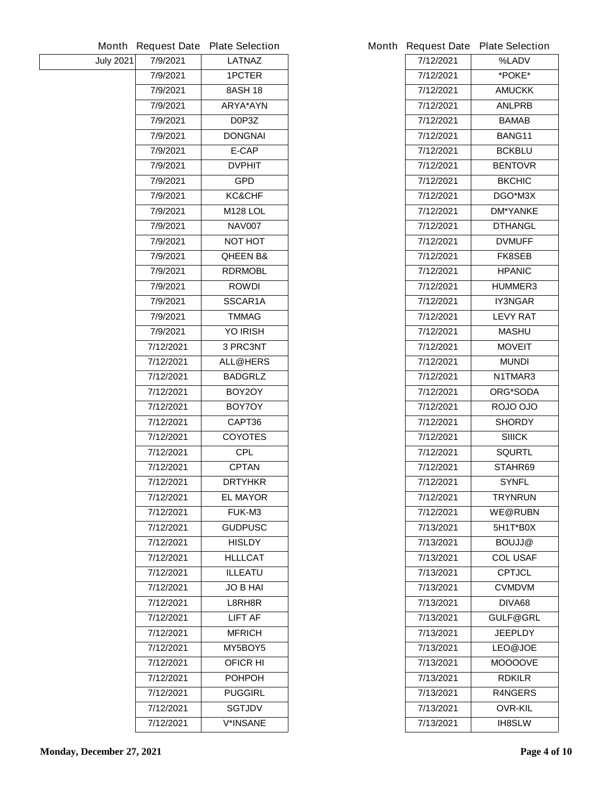|                  |           | Month Request Date Plate Selection | <b>Month Request Date</b> | <b>Plate Selection</b> |
|------------------|-----------|------------------------------------|---------------------------|------------------------|
| <b>July 2021</b> | 7/9/2021  | <b>LATNAZ</b>                      | 7/12/2021                 | %LADV                  |
|                  | 7/9/2021  | <b>1PCTER</b>                      | 7/12/2021                 | *POKE*                 |
|                  | 7/9/2021  | <b>8ASH 18</b>                     | 7/12/2021                 | <b>AMUCKK</b>          |
|                  | 7/9/2021  | <b>ARYA*AYN</b>                    | 7/12/2021                 | <b>ANLPRB</b>          |
|                  | 7/9/2021  | D0P3Z                              | 7/12/2021                 | <b>BAMAB</b>           |
|                  | 7/9/2021  | <b>DONGNAI</b>                     | 7/12/2021                 | BANG11                 |
|                  | 7/9/2021  | E-CAP                              | 7/12/2021                 | <b>BCKBLU</b>          |
|                  | 7/9/2021  | <b>DVPHIT</b>                      | 7/12/2021                 | <b>BENTOVR</b>         |
|                  | 7/9/2021  | <b>GPD</b>                         | 7/12/2021                 | <b>BKCHIC</b>          |
|                  | 7/9/2021  | <b>KC&amp;CHF</b>                  | 7/12/2021                 | DGO*M3X                |
|                  | 7/9/2021  | <b>M128 LOL</b>                    | 7/12/2021                 | <b>DM*YANKE</b>        |
|                  | 7/9/2021  | <b>NAV007</b>                      | 7/12/2021                 | <b>DTHANGL</b>         |
|                  | 7/9/2021  | <b>NOT HOT</b>                     | 7/12/2021                 | <b>DVMUFF</b>          |
|                  | 7/9/2021  | <b>QHEEN B&amp;</b>                | 7/12/2021                 | <b>FK8SEB</b>          |
|                  | 7/9/2021  | <b>RDRMOBL</b>                     | 7/12/2021                 | <b>HPANIC</b>          |
|                  | 7/9/2021  | <b>ROWDI</b>                       | 7/12/2021                 | <b>HUMMER3</b>         |
|                  | 7/9/2021  | SSCAR1A                            | 7/12/2021                 | IY3NGAR                |
|                  | 7/9/2021  | <b>TMMAG</b>                       | 7/12/2021                 | <b>LEVY RAT</b>        |
|                  | 7/9/2021  | <b>YO IRISH</b>                    | 7/12/2021                 | <b>MASHU</b>           |
|                  | 7/12/2021 | 3 PRC3NT                           | 7/12/2021                 | <b>MOVEIT</b>          |
|                  | 7/12/2021 | <b>ALL@HERS</b>                    | 7/12/2021                 | <b>MUNDI</b>           |
|                  | 7/12/2021 | <b>BADGRLZ</b>                     | 7/12/2021                 | N1TMAR3                |
|                  | 7/12/2021 | BOY2OY                             | 7/12/2021                 | <b>ORG*SODA</b>        |
|                  | 7/12/2021 | BOY7OY                             | 7/12/2021                 | ROJO OJO               |
|                  | 7/12/2021 | CAPT36                             | 7/12/2021                 | <b>SHORDY</b>          |
|                  | 7/12/2021 | <b>COYOTES</b>                     | 7/12/2021                 | <b>SIIICK</b>          |
|                  | 7/12/2021 | <b>CPL</b>                         | 7/12/2021                 | <b>SQURTL</b>          |
|                  | 7/12/2021 | <b>CPTAN</b>                       | 7/12/2021                 | STAHR69                |
|                  | 7/12/2021 | <b>DRTYHKR</b>                     | 7/12/2021                 | <b>SYNFL</b>           |
|                  | 7/12/2021 | <b>EL MAYOR</b>                    | 7/12/2021                 | <b>TRYNRUN</b>         |
|                  | 7/12/2021 | <b>FUK-M3</b>                      | 7/12/2021                 | <b>WE@RUBN</b>         |
|                  | 7/12/2021 | <b>GUDPUSC</b>                     | 7/13/2021                 | 5H1T*B0X               |
|                  | 7/12/2021 | <b>HISLDY</b>                      | 7/13/2021                 | <b>BOUJJ@</b>          |
|                  | 7/12/2021 | <b>HLLLCAT</b>                     | 7/13/2021                 | <b>COL USAF</b>        |
|                  | 7/12/2021 | <b>ILLEATU</b>                     | 7/13/2021                 | <b>CPTJCL</b>          |
|                  | 7/12/2021 | <b>JO B HAI</b>                    | 7/13/2021                 | <b>CVMDVM</b>          |
|                  | 7/12/2021 | L8RH8R                             | 7/13/2021                 | DIVA68                 |
|                  | 7/12/2021 | <b>LIFT AF</b>                     | 7/13/2021                 | <b>GULF@GRL</b>        |
|                  | 7/12/2021 | <b>MFRICH</b>                      | 7/13/2021                 | <b>JEEPLDY</b>         |
|                  | 7/12/2021 | MY5BOY5                            | 7/13/2021                 | LEO@JOE                |
|                  | 7/12/2021 | <b>OFICR HI</b>                    | 7/13/2021                 | <b>MOOOOVE</b>         |
|                  | 7/12/2021 | <b>POHPOH</b>                      | 7/13/2021                 | <b>RDKILR</b>          |
|                  | 7/12/2021 | <b>PUGGIRL</b>                     | 7/13/2021                 | <b>R4NGERS</b>         |
|                  | 7/12/2021 | <b>SGTJDV</b>                      | 7/13/2021                 | <b>OVR-KIL</b>         |
|                  | 7/12/2021 | <b>V*INSANE</b>                    | 7/13/2021                 | <b>IH8SLW</b>          |
|                  |           |                                    |                           |                        |

|           | <b>Request Date Plate Selection</b> |
|-----------|-------------------------------------|
| 7/12/2021 | %LADV                               |
| 7/12/2021 | *POKE*                              |
| 7/12/2021 | AMUCKK                              |
| 7/12/2021 | <b>ANLPRB</b>                       |
| 7/12/2021 | <b>BAMAB</b>                        |
| 7/12/2021 | <b>BANG11</b>                       |
| 7/12/2021 | <b>BCKBLU</b>                       |
| 7/12/2021 | <b>BENTOVR</b>                      |
| 7/12/2021 | <b>BKCHIC</b>                       |
| 7/12/2021 | <b>DGO*M3X</b>                      |
| 7/12/2021 | <b>DM*YANKE</b>                     |
| 7/12/2021 | <b>DTHANGL</b>                      |
| 7/12/2021 | <b>DVMUFF</b>                       |
| 7/12/2021 | <b>FK8SEB</b>                       |
| 7/12/2021 | <b>HPANIC</b>                       |
| 7/12/2021 | <b>HUMMER3</b>                      |
| 7/12/2021 | <b>IY3NGAR</b>                      |
| 7/12/2021 | <b>LEVY RAT</b>                     |
| 7/12/2021 | <b>MASHU</b>                        |
| 7/12/2021 | <b>MOVEIT</b>                       |
| 7/12/2021 | <b>MUNDI</b>                        |
| 7/12/2021 | N1TMAR3                             |
| 7/12/2021 | <b>ORG*SODA</b>                     |
| 7/12/2021 | ROJO OJO                            |
| 7/12/2021 | <b>SHORDY</b>                       |
| 7/12/2021 | SIIICK                              |
| 7/12/2021 | <b>SQURTL</b>                       |
| 7/12/2021 | STAHR69                             |
| 7/12/2021 | <b>SYNFL</b>                        |
| 7/12/2021 | <b>TRYNRUN</b>                      |
| 7/12/2021 | <b>WE@RUBN</b>                      |
| 7/13/2021 | 5H1T*B0X                            |
| 7/13/2021 | <b>BOUJJ@</b>                       |
| 7/13/2021 | <b>COL USAF</b>                     |
| 7/13/2021 | <b>CPTJCL</b>                       |
| 7/13/2021 | CVMDVM                              |
| 7/13/2021 | DIVA68                              |
| 7/13/2021 | <b>GULF@GRL</b>                     |
| 7/13/2021 | <b>JEEPLDY</b>                      |
| 7/13/2021 | <b>LEO@JOE</b>                      |
| 7/13/2021 | <b>MOOOOVE</b>                      |
| 7/13/2021 | <b>RDKILR</b>                       |
| 7/13/2021 | <b>R4NGERS</b>                      |
| 7/13/2021 | <b>OVR-KIL</b>                      |
| 7/13/2021 | <b>IH8SLW</b>                       |
|           |                                     |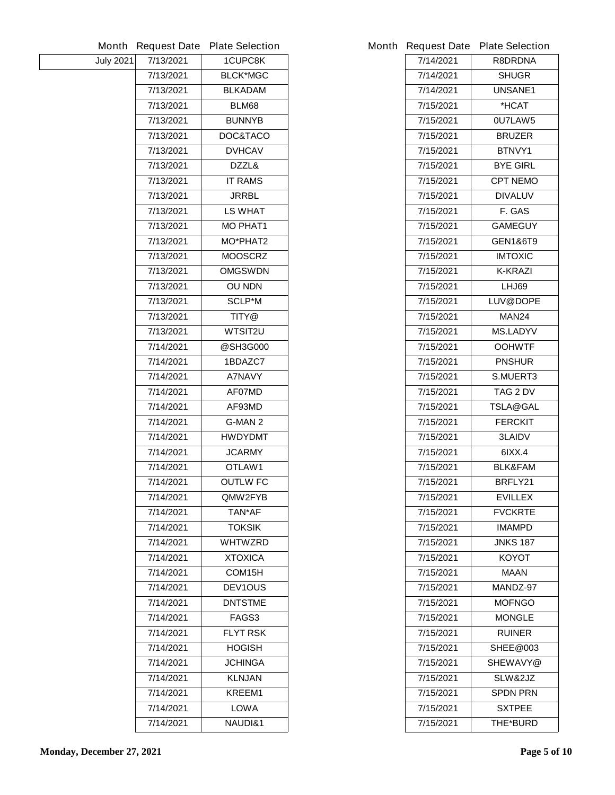|                  |           | Month Request Date Plate Selection |           | Month Request Date Plate Selection |
|------------------|-----------|------------------------------------|-----------|------------------------------------|
| <b>July 2021</b> | 7/13/2021 | 1CUPC8K                            | 7/14/2021 | <b>R8DRDNA</b>                     |
|                  | 7/13/2021 | <b>BLCK*MGC</b>                    | 7/14/2021 | <b>SHUGR</b>                       |
|                  | 7/13/2021 | <b>BLKADAM</b>                     | 7/14/2021 | <b>UNSANE1</b>                     |
|                  | 7/13/2021 | <b>BLM68</b>                       | 7/15/2021 | *HCAT                              |
|                  | 7/13/2021 | <b>BUNNYB</b>                      | 7/15/2021 | 0U7LAW5                            |
|                  | 7/13/2021 | DOC&TACO                           | 7/15/2021 | <b>BRUZER</b>                      |
|                  | 7/13/2021 | <b>DVHCAV</b>                      | 7/15/2021 | BTNVY1                             |
|                  | 7/13/2021 | DZZL&                              | 7/15/2021 | <b>BYE GIRL</b>                    |
|                  | 7/13/2021 | <b>IT RAMS</b>                     | 7/15/2021 | <b>CPT NEMO</b>                    |
|                  | 7/13/2021 | <b>JRRBL</b>                       | 7/15/2021 | <b>DIVALUV</b>                     |
|                  | 7/13/2021 | <b>LS WHAT</b>                     | 7/15/2021 | F. GAS                             |
|                  | 7/13/2021 | <b>MO PHAT1</b>                    | 7/15/2021 | <b>GAMEGUY</b>                     |
|                  | 7/13/2021 | <b>MO*PHAT2</b>                    | 7/15/2021 | <b>GEN1&amp;6T9</b>                |
|                  | 7/13/2021 | <b>MOOSCRZ</b>                     | 7/15/2021 | <b>IMTOXIC</b>                     |
|                  | 7/13/2021 | <b>OMGSWDN</b>                     | 7/15/2021 | <b>K-KRAZI</b>                     |
|                  | 7/13/2021 | <b>OU NDN</b>                      | 7/15/2021 | <b>LHJ69</b>                       |
|                  | 7/13/2021 | <b>SCLP*M</b>                      | 7/15/2021 | LUV@DOPE                           |
|                  | 7/13/2021 | TITY@                              | 7/15/2021 | <b>MAN24</b>                       |
|                  | 7/13/2021 | <b>WTSIT2U</b>                     | 7/15/2021 | <b>MS.LADYV</b>                    |
|                  | 7/14/2021 | @SH3G000                           | 7/15/2021 | <b>OOHWTF</b>                      |
|                  | 7/14/2021 | 1BDAZC7                            | 7/15/2021 | <b>PNSHUR</b>                      |
|                  | 7/14/2021 | <b>A7NAVY</b>                      | 7/15/2021 | <b>S.MUERT3</b>                    |
|                  | 7/14/2021 | AF07MD                             | 7/15/2021 | TAG 2 DV                           |
|                  | 7/14/2021 | AF93MD                             | 7/15/2021 | <b>TSLA@GAL</b>                    |
|                  | 7/14/2021 | <b>G-MAN 2</b>                     | 7/15/2021 | <b>FERCKIT</b>                     |
|                  | 7/14/2021 | <b>HWDYDMT</b>                     | 7/15/2021 | <b>3LAIDV</b>                      |
|                  | 7/14/2021 | <b>JCARMY</b>                      | 7/15/2021 | 61XX.4                             |
|                  | 7/14/2021 | OTLAW1                             | 7/15/2021 | <b>BLK&amp;FAM</b>                 |
|                  | 7/14/2021 | <b>OUTLW FC</b>                    | 7/15/2021 | BRFLY21                            |
|                  | 7/14/2021 | QMW2FYB                            | 7/15/2021 | <b>EVILLEX</b>                     |
|                  | 7/14/2021 | TAN*AF                             | 7/15/2021 | <b>FVCKRTE</b>                     |
|                  | 7/14/2021 | <b>TOKSIK</b>                      | 7/15/2021 | <b>IMAMPD</b>                      |
|                  | 7/14/2021 | <b>WHTWZRD</b>                     | 7/15/2021 | <b>JNKS 187</b>                    |
|                  | 7/14/2021 | <b>XTOXICA</b>                     | 7/15/2021 | <b>KOYOT</b>                       |
|                  | 7/14/2021 | COM15H                             | 7/15/2021 | <b>MAAN</b>                        |
|                  | 7/14/2021 | <b>DEV1OUS</b>                     | 7/15/2021 | MANDZ-97                           |
|                  | 7/14/2021 | <b>DNTSTME</b>                     | 7/15/2021 | <b>MOFNGO</b>                      |
|                  | 7/14/2021 | FAGS3                              | 7/15/2021 | <b>MONGLE</b>                      |
|                  | 7/14/2021 | <b>FLYT RSK</b>                    | 7/15/2021 | <b>RUINER</b>                      |
|                  | 7/14/2021 | <b>HOGISH</b>                      | 7/15/2021 | <b>SHEE@003</b>                    |
|                  | 7/14/2021 | <b>JCHINGA</b>                     | 7/15/2021 | <b>SHEWAVY@</b>                    |
|                  | 7/14/2021 | <b>KLNJAN</b>                      | 7/15/2021 | SLW&2JZ                            |
|                  | 7/14/2021 | <b>KREEM1</b>                      | 7/15/2021 | <b>SPDN PRN</b>                    |
|                  | 7/14/2021 | <b>LOWA</b>                        | 7/15/2021 | <b>SXTPEE</b>                      |
|                  | 7/14/2021 | <b>NAUDI&amp;1</b>                 | 7/15/2021 | <b>THE*BURD</b>                    |

|           | <b>Request Date Plate Selection</b> |
|-----------|-------------------------------------|
| 7/14/2021 | <b>R8DRDNA</b>                      |
| 7/14/2021 | <b>SHUGR</b>                        |
| 7/14/2021 | <b>UNSANE1</b>                      |
| 7/15/2021 | *HCAT                               |
| 7/15/2021 | 0U7LAW5                             |
| 7/15/2021 | <b>BRUZER</b>                       |
| 7/15/2021 | <b>BTNVY1</b>                       |
| 7/15/2021 | <b>BYE GIRL</b>                     |
| 7/15/2021 | <b>CPT NEMO</b>                     |
| 7/15/2021 | <b>DIVALUV</b>                      |
| 7/15/2021 | F. GAS                              |
| 7/15/2021 | <b>GAMEGUY</b>                      |
| 7/15/2021 | <b>GEN1&amp;6T9</b>                 |
| 7/15/2021 | <b>IMTOXIC</b>                      |
| 7/15/2021 | <b>K-KRAZI</b>                      |
| 7/15/2021 | LHJ69                               |
| 7/15/2021 | <b>LUV@DOPE</b>                     |
| 7/15/2021 | <b>MAN24</b>                        |
| 7/15/2021 | <b>MS.LADYV</b>                     |
| 7/15/2021 | <b>OOHWTF</b>                       |
| 7/15/2021 | <b>PNSHUR</b>                       |
| 7/15/2021 | <b>S.MUERT3</b>                     |
| 7/15/2021 | TAG 2 DV                            |
| 7/15/2021 | TSLA@GAL                            |
| 7/15/2021 | <b>FERCKIT</b>                      |
| 7/15/2021 | <b>3LAIDV</b>                       |
| 7/15/2021 | 6IXX.4                              |
| 7/15/2021 | <b>BLK&amp;FAM</b>                  |
| 7/15/2021 | <b>BRFLY21</b>                      |
| 7/15/2021 | <b>EVILLEX</b>                      |
| 7/15/2021 | <b>FVCKRTE</b>                      |
| 7/15/2021 | IMAMPD                              |
| 7/15/2021 | JNKS 187                            |
| 7/15/2021 | ΚΟΥΟΤ                               |
| 7/15/2021 | MAAN                                |
| 7/15/2021 | MANDZ-97                            |
| 7/15/2021 | <b>MOFNGO</b>                       |
| 7/15/2021 | <b>MONGLE</b>                       |
| 7/15/2021 | <b>RUINER</b>                       |
| 7/15/2021 | <b>SHEE@003</b>                     |
| 7/15/2021 | <b>SHEWAVY@</b>                     |
| 7/15/2021 | <b>SLW&amp;2JZ</b>                  |
| 7/15/2021 | SPDN PRN                            |
| 7/15/2021 | <b>SXTPEE</b>                       |
| 7/15/2021 | <b>THE*BURD</b>                     |
|           |                                     |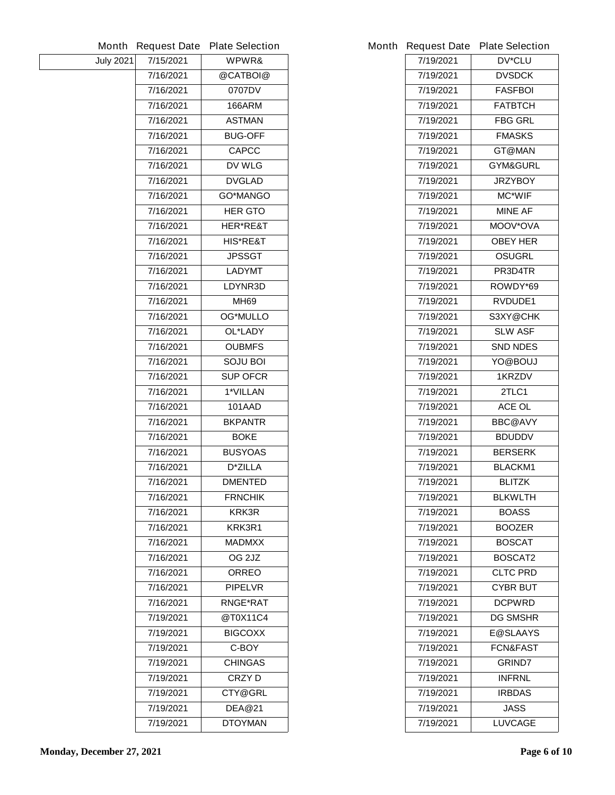|                  | Month Request Date | <b>Plate Selection</b> |           | Month Request Date Plate Selection |
|------------------|--------------------|------------------------|-----------|------------------------------------|
| <b>July 2021</b> | 7/15/2021          | WPWR&                  | 7/19/2021 | <b>DV*CLU</b>                      |
|                  | 7/16/2021          | @CATBOI@               | 7/19/2021 | <b>DVSDCK</b>                      |
|                  | 7/16/2021          | 0707DV                 | 7/19/2021 | <b>FASFBOI</b>                     |
|                  | 7/16/2021          | <b>166ARM</b>          | 7/19/2021 | <b>FATBTCH</b>                     |
|                  | 7/16/2021          | <b>ASTMAN</b>          | 7/19/2021 | <b>FBG GRL</b>                     |
|                  | 7/16/2021          | <b>BUG-OFF</b>         | 7/19/2021 | <b>FMASKS</b>                      |
|                  | 7/16/2021          | <b>CAPCC</b>           | 7/19/2021 | <b>GT@MAN</b>                      |
|                  | 7/16/2021          | DV WLG                 | 7/19/2021 | <b>GYM&amp;GURL</b>                |
|                  | 7/16/2021          | <b>DVGLAD</b>          | 7/19/2021 | <b>JRZYBOY</b>                     |
|                  | 7/16/2021          | <b>GO*MANGO</b>        | 7/19/2021 | <b>MC*WIF</b>                      |
|                  | 7/16/2021          | <b>HER GTO</b>         | 7/19/2021 | <b>MINE AF</b>                     |
|                  | 7/16/2021          | <b>HER*RE&amp;T</b>    | 7/19/2021 | <b>MOOV*OVA</b>                    |
|                  | 7/16/2021          | <b>HIS*RE&amp;T</b>    | 7/19/2021 | <b>OBEY HER</b>                    |
|                  | 7/16/2021          | <b>JPSSGT</b>          | 7/19/2021 | <b>OSUGRL</b>                      |
|                  | 7/16/2021          | <b>LADYMT</b>          | 7/19/2021 | PR3D4TR                            |
|                  | 7/16/2021          | LDYNR3D                | 7/19/2021 | ROWDY*69                           |
|                  | 7/16/2021          | <b>MH69</b>            | 7/19/2021 | RVDUDE1                            |
|                  | 7/16/2021          | <b>OG*MULLO</b>        | 7/19/2021 | S3XY@CHK                           |
|                  | 7/16/2021          | OL*LADY                | 7/19/2021 | <b>SLW ASF</b>                     |
|                  | 7/16/2021          | <b>OUBMFS</b>          | 7/19/2021 | <b>SND NDES</b>                    |
|                  | 7/16/2021          | <b>SOJU BOI</b>        | 7/19/2021 | YO@BOUJ                            |
|                  | 7/16/2021          | <b>SUP OFCR</b>        | 7/19/2021 | 1KRZDV                             |
|                  | 7/16/2021          | 1*VILLAN               | 7/19/2021 | 2TLC1                              |
|                  | 7/16/2021          | <b>101AAD</b>          | 7/19/2021 | ACE OL                             |
|                  | 7/16/2021          | <b>BKPANTR</b>         | 7/19/2021 | <b>BBC@AVY</b>                     |
|                  | 7/16/2021          | <b>BOKE</b>            | 7/19/2021 | <b>BDUDDV</b>                      |
|                  | 7/16/2021          | <b>BUSYOAS</b>         | 7/19/2021 | <b>BERSERK</b>                     |
|                  | 7/16/2021          | <b>D*ZILLA</b>         | 7/19/2021 | <b>BLACKM1</b>                     |
|                  | 7/16/2021          | <b>DMENTED</b>         | 7/19/2021 | <b>BLITZK</b>                      |
|                  | 7/16/2021          | <b>FRNCHIK</b>         | 7/19/2021 | <b>BLKWLTH</b>                     |
|                  | 7/16/2021          | <b>KRK3R</b>           | 7/19/2021 | <b>BOASS</b>                       |
|                  | 7/16/2021          | KRK3R1                 | 7/19/2021 | <b>BOOZER</b>                      |
|                  | 7/16/2021          | <b>MADMXX</b>          | 7/19/2021 | <b>BOSCAT</b>                      |
|                  | 7/16/2021          | OG <sub>2JZ</sub>      | 7/19/2021 | <b>BOSCAT2</b>                     |
|                  | 7/16/2021          | <b>ORREO</b>           | 7/19/2021 | <b>CLTC PRD</b>                    |
|                  | 7/16/2021          | <b>PIPELVR</b>         | 7/19/2021 | <b>CYBR BUT</b>                    |
|                  | 7/16/2021          | <b>RNGE*RAT</b>        | 7/19/2021 | <b>DCPWRD</b>                      |
|                  | 7/19/2021          | @T0X11C4               | 7/19/2021 | <b>DG SMSHR</b>                    |
|                  | 7/19/2021          | <b>BIGCOXX</b>         | 7/19/2021 | <b>E@SLAAYS</b>                    |
|                  | 7/19/2021          | C-BOY                  | 7/19/2021 | <b>FCN&amp;FAST</b>                |
|                  | 7/19/2021          | <b>CHINGAS</b>         | 7/19/2021 | <b>GRIND7</b>                      |
|                  | 7/19/2021          | <b>CRZYD</b>           | 7/19/2021 | <b>INFRNL</b>                      |
|                  | 7/19/2021          | <b>CTY@GRL</b>         | 7/19/2021 | <b>IRBDAS</b>                      |
|                  | 7/19/2021          | <b>DEA@21</b>          | 7/19/2021 | <b>JASS</b>                        |
|                  | 7/19/2021          | <b>DTOYMAN</b>         | 7/19/2021 | <b>LUVCAGE</b>                     |

|           | <b>Request Date Plate Selection</b> |
|-----------|-------------------------------------|
| 7/19/2021 | <b>DV*CLU</b>                       |
| 7/19/2021 | <b>DVSDCK</b>                       |
| 7/19/2021 | <b>FASFBOI</b>                      |
| 7/19/2021 | <b>FATBTCH</b>                      |
| 7/19/2021 | FBG GRL                             |
| 7/19/2021 | <b>FMASKS</b>                       |
| 7/19/2021 | <b>GT@MAN</b>                       |
| 7/19/2021 | <b>GYM&amp;GURL</b>                 |
| 7/19/2021 | <b>JRZYBOY</b>                      |
| 7/19/2021 | MC*WIF                              |
| 7/19/2021 | MINE AF                             |
| 7/19/2021 | <b>MOOV*OVA</b>                     |
| 7/19/2021 | <b>OBEY HER</b>                     |
| 7/19/2021 | <b>OSUGRL</b>                       |
| 7/19/2021 | PR3D4TR                             |
| 7/19/2021 | ROWDY*69                            |
| 7/19/2021 | <b>RVDUDE1</b>                      |
| 7/19/2021 | S3XY@CHK                            |
| 7/19/2021 | <b>SLW ASF</b>                      |
| 7/19/2021 | <b>SND NDES</b>                     |
| 7/19/2021 | YO@BOUJ                             |
| 7/19/2021 | <b>1KRZDV</b>                       |
| 7/19/2021 | 2TLC1                               |
| 7/19/2021 | <b>ACE OL</b>                       |
| 7/19/2021 | <b>BBC@AVY</b>                      |
| 7/19/2021 | <b>BDUDDV</b>                       |
| 7/19/2021 | <b>BERSERK</b>                      |
| 7/19/2021 | <b>BLACKM1</b>                      |
| 7/19/2021 | <b>BLITZK</b>                       |
| 7/19/2021 | <b>BLKWLTH</b>                      |
| 7/19/2021 | <b>BOASS</b>                        |
| 7/19/2021 | <b>BOOZER</b>                       |
| 7/19/2021 | <b>BOSCAT</b>                       |
| 7/19/2021 | <b>BOSCAT2</b>                      |
| 7/19/2021 | CLTC PRD                            |
| 7/19/2021 | CYBR BUT                            |
| 7/19/2021 | <b>DCPWRD</b>                       |
| 7/19/2021 | <b>DG SMSHR</b>                     |
| 7/19/2021 | <b>E@SLAAYS</b>                     |
| 7/19/2021 | FCN&FAST                            |
| 7/19/2021 | <b>GRIND7</b>                       |
| 7/19/2021 | <b>INFRNL</b>                       |
| 7/19/2021 | IRBDAS                              |
| 7/19/2021 | JASS                                |
| 7/19/2021 | <b>LUVCAGE</b>                      |
|           |                                     |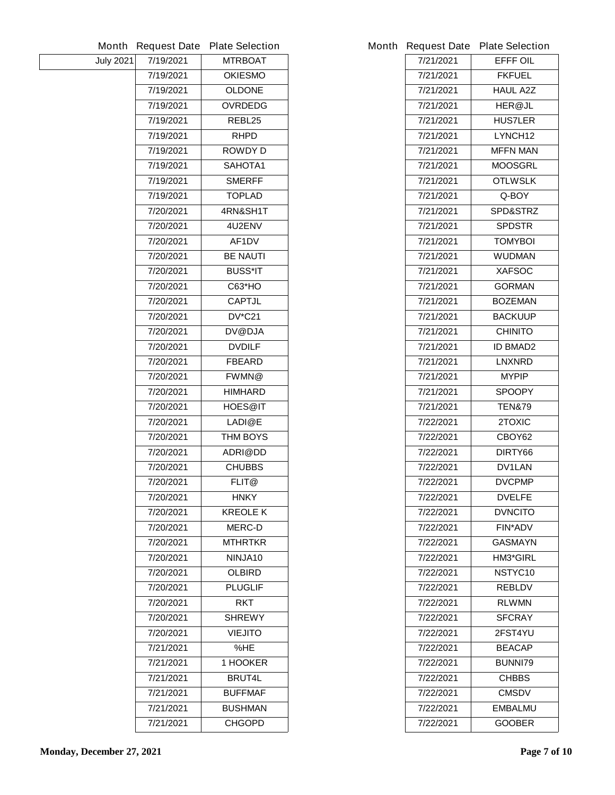|                  | <b>Month Request Date</b> | <b>Plate Selection</b> |           | Month Request Date Plate Selection |
|------------------|---------------------------|------------------------|-----------|------------------------------------|
| <b>July 2021</b> | 7/19/2021                 | <b>MTRBOAT</b>         | 7/21/2021 | <b>EFFF OIL</b>                    |
|                  | 7/19/2021                 | <b>OKIESMO</b>         | 7/21/2021 | <b>FKFUEL</b>                      |
|                  | 7/19/2021                 | <b>OLDONE</b>          | 7/21/2021 | <b>HAUL A2Z</b>                    |
|                  | 7/19/2021                 | <b>OVRDEDG</b>         | 7/21/2021 | <b>HER@JL</b>                      |
|                  | 7/19/2021                 | REBL25                 | 7/21/2021 | <b>HUS7LER</b>                     |
|                  | 7/19/2021                 | <b>RHPD</b>            | 7/21/2021 | LYNCH <sub>12</sub>                |
|                  | 7/19/2021                 | <b>ROWDYD</b>          | 7/21/2021 | <b>MFFN MAN</b>                    |
|                  | 7/19/2021                 | SAHOTA1                | 7/21/2021 | <b>MOOSGRL</b>                     |
|                  | 7/19/2021                 | <b>SMERFF</b>          | 7/21/2021 | <b>OTLWSLK</b>                     |
|                  | 7/19/2021                 | <b>TOPLAD</b>          | 7/21/2021 | Q-BOY                              |
|                  | 7/20/2021                 | 4RN&SH1T               | 7/21/2021 | <b>SPD&amp;STRZ</b>                |
|                  | 7/20/2021                 | 4U2ENV                 | 7/21/2021 | <b>SPDSTR</b>                      |
|                  | 7/20/2021                 | AF1DV                  | 7/21/2021 | <b>TOMYBOI</b>                     |
|                  | 7/20/2021                 | <b>BE NAUTI</b>        | 7/21/2021 | <b>WUDMAN</b>                      |
|                  | 7/20/2021                 | <b>BUSS*IT</b>         | 7/21/2021 | <b>XAFSOC</b>                      |
|                  | 7/20/2021                 | <b>C63*HO</b>          | 7/21/2021 | <b>GORMAN</b>                      |
|                  | 7/20/2021                 | <b>CAPTJL</b>          | 7/21/2021 | <b>BOZEMAN</b>                     |
|                  | 7/20/2021                 | <b>DV*C21</b>          | 7/21/2021 | <b>BACKUUP</b>                     |
|                  | 7/20/2021                 | <b>DV@DJA</b>          | 7/21/2021 | <b>CHINITO</b>                     |
|                  | 7/20/2021                 | <b>DVDILF</b>          | 7/21/2021 | <b>ID BMAD2</b>                    |
|                  | 7/20/2021                 | <b>FBEARD</b>          | 7/21/2021 | <b>LNXNRD</b>                      |
|                  | 7/20/2021                 | FWMN@                  | 7/21/2021 | <b>MYPIP</b>                       |
|                  | 7/20/2021                 | <b>HIMHARD</b>         | 7/21/2021 | <b>SPOOPY</b>                      |
|                  | 7/20/2021                 | <b>HOES@IT</b>         | 7/21/2021 | <b>TEN&amp;79</b>                  |
|                  | 7/20/2021                 | LADI@E                 | 7/22/2021 | 2TOXIC                             |
|                  | 7/20/2021                 | <b>THM BOYS</b>        | 7/22/2021 | CBOY62                             |
|                  | 7/20/2021                 | ADRI@DD                | 7/22/2021 | DIRTY66                            |
|                  | 7/20/2021                 | <b>CHUBBS</b>          | 7/22/2021 | <b>DV1LAN</b>                      |
|                  | 7/20/2021                 | FLIT@                  | 7/22/2021 | <b>DVCPMP</b>                      |
|                  | 7/20/2021                 | <b>HNKY</b>            | 7/22/2021 | <b>DVELFE</b>                      |
|                  | 7/20/2021                 | <b>KREOLE K</b>        | 7/22/2021 | <b>DVNCITO</b>                     |
|                  | 7/20/2021                 | <b>MERC-D</b>          | 7/22/2021 | <b>FIN*ADV</b>                     |
|                  | 7/20/2021                 | <b>MTHRTKR</b>         | 7/22/2021 | <b>GASMAYN</b>                     |
|                  | 7/20/2021                 | NINJA10                | 7/22/2021 | <b>HM3*GIRL</b>                    |
|                  | 7/20/2021                 | <b>OLBIRD</b>          | 7/22/2021 | NSTYC10                            |
|                  | 7/20/2021                 | <b>PLUGLIF</b>         | 7/22/2021 | <b>REBLDV</b>                      |
|                  | 7/20/2021                 | <b>RKT</b>             | 7/22/2021 | <b>RLWMN</b>                       |
|                  | 7/20/2021                 | <b>SHREWY</b>          | 7/22/2021 | <b>SFCRAY</b>                      |
|                  | 7/20/2021                 | <b>VIEJITO</b>         | 7/22/2021 | 2FST4YU                            |
|                  | 7/21/2021                 | %HE                    | 7/22/2021 | <b>BEACAP</b>                      |
|                  | 7/21/2021                 | 1 HOOKER               | 7/22/2021 | <b>BUNNI79</b>                     |
|                  | 7/21/2021                 | <b>BRUT4L</b>          | 7/22/2021 | <b>CHBBS</b>                       |
|                  | 7/21/2021                 | <b>BUFFMAF</b>         | 7/22/2021 | <b>CMSDV</b>                       |
|                  | 7/21/2021                 | <b>BUSHMAN</b>         | 7/22/2021 | <b>EMBALMU</b>                     |
|                  | 7/21/2021                 | <b>CHGOPD</b>          | 7/22/2021 | <b>GOOBER</b>                      |
|                  |                           |                        |           |                                    |

|           | <b>Request Date Plate Selection</b> |
|-----------|-------------------------------------|
| 7/21/2021 | <b>EFFF OIL</b>                     |
| 7/21/2021 | <b>FKFUEL</b>                       |
| 7/21/2021 | <b>HAUL A2Z</b>                     |
| 7/21/2021 | <b>HER@JL</b>                       |
| 7/21/2021 | <b>HUS7LER</b>                      |
| 7/21/2021 | <b>LYNCH12</b>                      |
| 7/21/2021 | MFFN MAN                            |
| 7/21/2021 | <b>MOOSGRL</b>                      |
| 7/21/2021 | <b>OTLWSLK</b>                      |
| 7/21/2021 | Q-BOY                               |
| 7/21/2021 | <b>SPD&amp;STRZ</b>                 |
| 7/21/2021 | <b>SPDSTR</b>                       |
| 7/21/2021 | TOMYBOI                             |
| 7/21/2021 | <b>WUDMAN</b>                       |
| 7/21/2021 | <b>XAFSOC</b>                       |
| 7/21/2021 | <b>GORMAN</b>                       |
| 7/21/2021 | <b>BOZEMAN</b>                      |
| 7/21/2021 | <b>BACKUUP</b>                      |
| 7/21/2021 | <b>CHINITO</b>                      |
| 7/21/2021 | <b>ID BMAD2</b>                     |
| 7/21/2021 | <b>LNXNRD</b>                       |
| 7/21/2021 | <b>MYPIP</b>                        |
| 7/21/2021 | <b>SPOOPY</b>                       |
| 7/21/2021 | TEN&79                              |
| 7/22/2021 | <b>2TOXIC</b>                       |
| 7/22/2021 | CBOY62                              |
| 7/22/2021 | DIRTY66                             |
| 7/22/2021 | <b>DV1LAN</b>                       |
| 7/22/2021 | <b>DVCPMP</b>                       |
| 7/22/2021 | <b>DVELFE</b>                       |
| 7/22/2021 | <b>DVNCITO</b>                      |
| 7/22/2021 | <b>FIN*ADV</b>                      |
| 7/22/2021 | GASMAYN                             |
| 7/22/2021 | <b>HM3*GIRL</b>                     |
| 7/22/2021 | <b>NSTYC10</b>                      |
| 7/22/2021 | <b>REBLDV</b>                       |
| 7/22/2021 | <b>RLWMN</b>                        |
| 7/22/2021 | <b>SFCRAY</b>                       |
| 7/22/2021 | <b>2FST4YU</b>                      |
| 7/22/2021 | <b>BEACAP</b>                       |
| 7/22/2021 | <b>BUNNI79</b>                      |
| 7/22/2021 | <b>CHBBS</b>                        |
| 7/22/2021 | CMSDV                               |
| 7/22/2021 | EMBALMU                             |
| 7/22/2021 | <b>GOOBER</b>                       |
|           |                                     |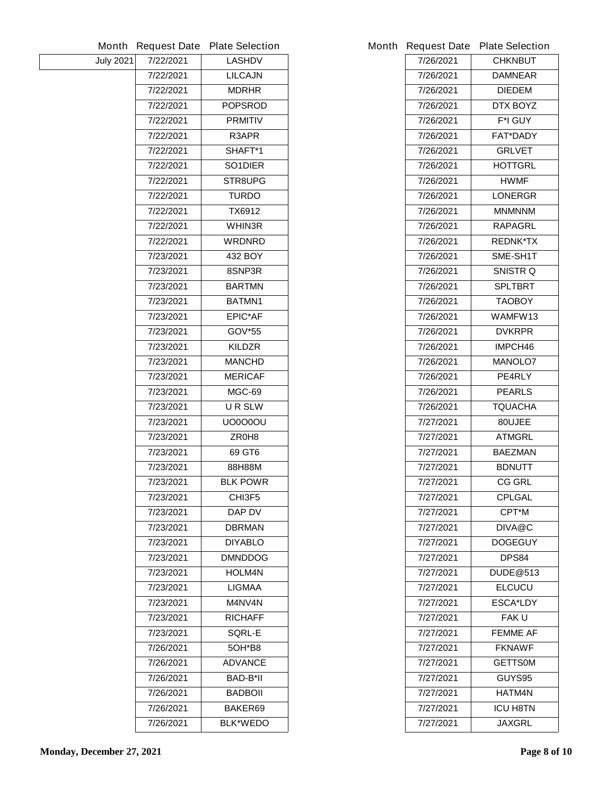|                  | <b>Month Request Date</b> | <b>Plate Selection</b> |           | Month Request Date Plate Selection |
|------------------|---------------------------|------------------------|-----------|------------------------------------|
| <b>July 2021</b> | 7/22/2021                 | <b>LASHDV</b>          | 7/26/2021 | <b>CHKNBUT</b>                     |
|                  | 7/22/2021                 | <b>LILCAJN</b>         | 7/26/2021 | <b>DAMNEAR</b>                     |
|                  | 7/22/2021                 | <b>MDRHR</b>           | 7/26/2021 | <b>DIEDEM</b>                      |
|                  | 7/22/2021                 | <b>POPSROD</b>         | 7/26/2021 | DTX BOYZ                           |
|                  | 7/22/2021                 | <b>PRMITIV</b>         | 7/26/2021 | <b>F*I GUY</b>                     |
|                  | 7/22/2021                 | R3APR                  | 7/26/2021 | <b>FAT*DADY</b>                    |
|                  | 7/22/2021                 | SHAFT*1                | 7/26/2021 | <b>GRLVET</b>                      |
|                  | 7/22/2021                 | SO1DIER                | 7/26/2021 | <b>HOTTGRL</b>                     |
|                  | 7/22/2021                 | STR8UPG                | 7/26/2021 | <b>HWMF</b>                        |
|                  | 7/22/2021                 | <b>TURDO</b>           | 7/26/2021 | <b>LONERGR</b>                     |
|                  | 7/22/2021                 | <b>TX6912</b>          | 7/26/2021 | <b>MNMNNM</b>                      |
|                  | 7/22/2021                 | WHIN3R                 | 7/26/2021 | <b>RAPAGRL</b>                     |
|                  | 7/22/2021                 | <b>WRDNRD</b>          | 7/26/2021 | <b>REDNK*TX</b>                    |
|                  | 7/23/2021                 | 432 BOY                | 7/26/2021 | SME-SH1T                           |
|                  | 7/23/2021                 | 8SNP3R                 | 7/26/2021 | <b>SNISTR Q</b>                    |
|                  | 7/23/2021                 | <b>BARTMN</b>          | 7/26/2021 | <b>SPLTBRT</b>                     |
|                  | 7/23/2021                 | BATMN1                 | 7/26/2021 | <b>TAOBOY</b>                      |
|                  | 7/23/2021                 | <b>EPIC*AF</b>         | 7/26/2021 | WAMFW13                            |
|                  | 7/23/2021                 | <b>GOV*55</b>          | 7/26/2021 | <b>DVKRPR</b>                      |
|                  | 7/23/2021                 | <b>KILDZR</b>          | 7/26/2021 | IMPCH46                            |
|                  | 7/23/2021                 | <b>MANCHD</b>          | 7/26/2021 | <b>MANOLO7</b>                     |
|                  | 7/23/2021                 | <b>MERICAF</b>         | 7/26/2021 | PE4RLY                             |
|                  | 7/23/2021                 | <b>MGC-69</b>          | 7/26/2021 | <b>PEARLS</b>                      |
|                  | 7/23/2021                 | <b>URSLW</b>           | 7/26/2021 | <b>TQUACHA</b>                     |
|                  | 7/23/2021                 | <b>UO0000U</b>         | 7/27/2021 | 80UJEE                             |
|                  | 7/23/2021                 | ZR0H8                  | 7/27/2021 | <b>ATMGRL</b>                      |
|                  | 7/23/2021                 | 69 GT6                 | 7/27/2021 | <b>BAEZMAN</b>                     |
|                  | 7/23/2021                 | 88H88M                 | 7/27/2021 | <b>BDNUTT</b>                      |
|                  | 7/23/2021                 | <b>BLK POWR</b>        | 7/27/2021 | <b>CG GRL</b>                      |
|                  | 7/23/2021                 | CHI3F5                 | 7/27/2021 | <b>CPLGAL</b>                      |
|                  | 7/23/2021                 | DAP DV                 | 7/27/2021 | <b>CPT*M</b>                       |
|                  | 7/23/2021                 | <b>DBRMAN</b>          | 7/27/2021 | DIVA@C                             |
|                  | 7/23/2021                 | <b>DIYABLO</b>         | 7/27/2021 | <b>DOGEGUY</b>                     |
|                  | 7/23/2021                 | <b>DMNDDOG</b>         | 7/27/2021 | DPS84                              |
|                  | 7/23/2021                 | <b>HOLM4N</b>          | 7/27/2021 | <b>DUDE@513</b>                    |
|                  | 7/23/2021                 | <b>LIGMAA</b>          | 7/27/2021 | <b>ELCUCU</b>                      |
|                  | 7/23/2021                 | <b>M4NV4N</b>          | 7/27/2021 | <b>ESCA*LDY</b>                    |
|                  | 7/23/2021                 | <b>RICHAFF</b>         | 7/27/2021 | <b>FAKU</b>                        |
|                  | 7/23/2021                 | <b>SQRL-E</b>          | 7/27/2021 | <b>FEMME AF</b>                    |
|                  | 7/26/2021                 | 50H*B8                 | 7/27/2021 | <b>FKNAWF</b>                      |
|                  | 7/26/2021                 | <b>ADVANCE</b>         | 7/27/2021 | <b>GETTS0M</b>                     |
|                  | 7/26/2021                 | <b>BAD-B*II</b>        | 7/27/2021 | GUYS95                             |
|                  | 7/26/2021                 | <b>BADBOII</b>         | 7/27/2021 | <b>HATM4N</b>                      |
|                  | 7/26/2021                 | BAKER69                | 7/27/2021 | <b>ICU H8TN</b>                    |
|                  | 7/26/2021                 | <b>BLK*WEDO</b>        | 7/27/2021 | <b>JAXGRL</b>                      |
|                  |                           |                        |           |                                    |

|           | <b>Request Date Plate Selection</b> |  |  |
|-----------|-------------------------------------|--|--|
| 7/26/2021 | <b>CHKNBUT</b>                      |  |  |
| 7/26/2021 | <b>DAMNEAR</b>                      |  |  |
| 7/26/2021 | <b>DIEDEM</b>                       |  |  |
| 7/26/2021 | <b>DTX BOYZ</b>                     |  |  |
| 7/26/2021 | <b>F*I GUY</b>                      |  |  |
| 7/26/2021 | <b>FAT*DADY</b>                     |  |  |
| 7/26/2021 | <b>GRLVET</b>                       |  |  |
| 7/26/2021 | <b>HOTTGRL</b>                      |  |  |
| 7/26/2021 | HWMF.                               |  |  |
| 7/26/2021 | <b>LONERGR</b>                      |  |  |
| 7/26/2021 | <b>MNMNNM</b>                       |  |  |
| 7/26/2021 | <b>RAPAGRL</b>                      |  |  |
| 7/26/2021 | <b>REDNK*TX</b>                     |  |  |
| 7/26/2021 | <b>SME-SH1T</b>                     |  |  |
| 7/26/2021 | <b>SNISTR Q</b>                     |  |  |
| 7/26/2021 | <b>SPLTBRT</b>                      |  |  |
| 7/26/2021 | <b>TAOBOY</b>                       |  |  |
| 7/26/2021 | WAMFW13                             |  |  |
| 7/26/2021 | <b>DVKRPR</b>                       |  |  |
| 7/26/2021 | IMPCH46                             |  |  |
| 7/26/2021 | <b>MANOLO7</b>                      |  |  |
| 7/26/2021 | <b>PE4RLY</b>                       |  |  |
| 7/26/2021 | <b>PEARLS</b>                       |  |  |
| 7/26/2021 | <b>TQUACHA</b>                      |  |  |
| 7/27/2021 | 80UJEE                              |  |  |
| 7/27/2021 | <b>ATMGRL</b>                       |  |  |
| 7/27/2021 | <b>BAEZMAN</b>                      |  |  |
| 7/27/2021 | <b>BDNUTT</b>                       |  |  |
| 7/27/2021 | <b>CG GRL</b>                       |  |  |
| 7/27/2021 | <b>CPLGAL</b>                       |  |  |
| 7/27/2021 | <b>CPT*M</b>                        |  |  |
| 7/27/2021 | DIVA@C                              |  |  |
| 7/27/2021 | <b>DOGEGUY</b>                      |  |  |
| 7/27/2021 | <b>DPS84</b>                        |  |  |
| 7/27/2021 | <b>DUDE</b> @513                    |  |  |
| 7/27/2021 | <b>ELCUCU</b>                       |  |  |
| 7/27/2021 | <b>ESCA*LDY</b>                     |  |  |
| 7/27/2021 | <b>FAKU</b>                         |  |  |
| 7/27/2021 | <b>FEMME AF</b>                     |  |  |
| 7/27/2021 | <b>FKNAWF</b>                       |  |  |
| 7/27/2021 | <b>GETTS0M</b>                      |  |  |
| 7/27/2021 | GUYS95                              |  |  |
| 7/27/2021 | HATM4N                              |  |  |
| 7/27/2021 | ICU H8TN                            |  |  |
| 7/27/2021 | <b>JAXGRL</b>                       |  |  |
|           |                                     |  |  |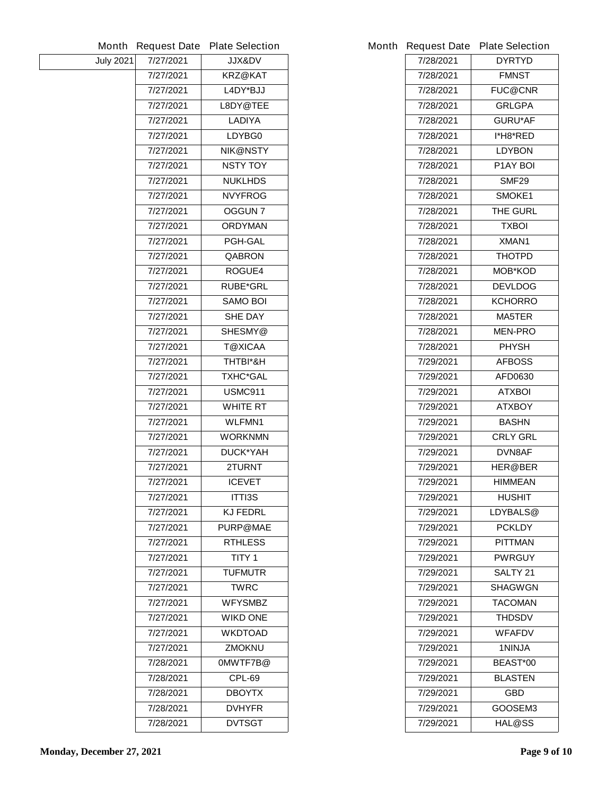|                  | <b>Month Request Date</b> | <b>Plate Selection</b> |           | Month Request Date Plate Selection |
|------------------|---------------------------|------------------------|-----------|------------------------------------|
| <b>July 2021</b> | 7/27/2021                 | <b>JJX&amp;DV</b>      | 7/28/2021 | <b>DYRTYD</b>                      |
|                  | 7/27/2021                 | <b>KRZ@KAT</b>         | 7/28/2021 | <b>FMNST</b>                       |
|                  | 7/27/2021                 | L4DY*BJJ               | 7/28/2021 | <b>FUC@CNR</b>                     |
|                  | 7/27/2021                 | L8DY@TEE               | 7/28/2021 | <b>GRLGPA</b>                      |
|                  | 7/27/2021                 | <b>LADIYA</b>          | 7/28/2021 | <b>GURU*AF</b>                     |
|                  | 7/27/2021                 | LDYBG0                 | 7/28/2021 | l*H8*RED                           |
|                  | 7/27/2021                 | <b>NIK@NSTY</b>        | 7/28/2021 | <b>LDYBON</b>                      |
|                  | 7/27/2021                 | <b>NSTY TOY</b>        | 7/28/2021 | <b>P1AY BOI</b>                    |
|                  | 7/27/2021                 | <b>NUKLHDS</b>         | 7/28/2021 | SMF <sub>29</sub>                  |
|                  | 7/27/2021                 | <b>NVYFROG</b>         | 7/28/2021 | SMOKE1                             |
|                  | 7/27/2021                 | <b>OGGUN 7</b>         | 7/28/2021 | THE GURL                           |
|                  | 7/27/2021                 | <b>ORDYMAN</b>         | 7/28/2021 | <b>TXBOI</b>                       |
|                  | 7/27/2021                 | <b>PGH-GAL</b>         | 7/28/2021 | XMAN1                              |
|                  | 7/27/2021                 | <b>QABRON</b>          | 7/28/2021 | <b>THOTPD</b>                      |
|                  | 7/27/2021                 | <b>ROGUE4</b>          | 7/28/2021 | <b>MOB*KOD</b>                     |
|                  | 7/27/2021                 | <b>RUBE*GRL</b>        | 7/28/2021 | <b>DEVLDOG</b>                     |
|                  | 7/27/2021                 | <b>SAMO BOI</b>        | 7/28/2021 | <b>KCHORRO</b>                     |
|                  | 7/27/2021                 | <b>SHE DAY</b>         | 7/28/2021 | <b>MA5TER</b>                      |
|                  | 7/27/2021                 | SHESMY@                | 7/28/2021 | <b>MEN-PRO</b>                     |
|                  | 7/27/2021                 | <b>T@XICAA</b>         | 7/28/2021 | <b>PHYSH</b>                       |
|                  | 7/27/2021                 | THTBI*&H               | 7/29/2021 | <b>AFBOSS</b>                      |
|                  | 7/27/2021                 | <b>TXHC*GAL</b>        | 7/29/2021 | <b>AFD0630</b>                     |
|                  | 7/27/2021                 | <b>USMC911</b>         | 7/29/2021 | <b>ATXBOI</b>                      |
|                  | 7/27/2021                 | <b>WHITE RT</b>        | 7/29/2021 | <b>ATXBOY</b>                      |
|                  | 7/27/2021                 | <b>WLFMN1</b>          | 7/29/2021 | <b>BASHN</b>                       |
|                  | 7/27/2021                 | <b>WORKNMN</b>         | 7/29/2021 | <b>CRLY GRL</b>                    |
|                  | 7/27/2021                 | <b>DUCK*YAH</b>        | 7/29/2021 | DVN8AF                             |
|                  | 7/27/2021                 | 2TURNT                 | 7/29/2021 | <b>HER@BER</b>                     |
|                  | 7/27/2021                 | <b>ICEVET</b>          | 7/29/2021 | <b>HIMMEAN</b>                     |
|                  | 7/27/2021                 | <b>ITTI3S</b>          | 7/29/2021 | <b>HUSHIT</b>                      |
|                  | 7/27/2021                 | <b>KJ FEDRL</b>        | 7/29/2021 | LDYBALS@                           |
|                  | 7/27/2021                 | <b>PURP@MAE</b>        | 7/29/2021 | <b>PCKLDY</b>                      |
|                  | 7/27/2021                 | <b>RTHLESS</b>         | 7/29/2021 | <b>PITTMAN</b>                     |
|                  | 7/27/2021                 | <b>TITY 1</b>          | 7/29/2021 | <b>PWRGUY</b>                      |
|                  | 7/27/2021                 | <b>TUFMUTR</b>         | 7/29/2021 | SALTY <sub>21</sub>                |
|                  | 7/27/2021                 | <b>TWRC</b>            | 7/29/2021 | <b>SHAGWGN</b>                     |
|                  | 7/27/2021                 | <b>WFYSMBZ</b>         | 7/29/2021 | <b>TACOMAN</b>                     |
|                  | 7/27/2021                 | <b>WIKD ONE</b>        | 7/29/2021 | <b>THDSDV</b>                      |
|                  | 7/27/2021                 | <b>WKDTOAD</b>         | 7/29/2021 | <b>WFAFDV</b>                      |
|                  | 7/27/2021                 | <b>ZMOKNU</b>          | 7/29/2021 | <b>1NINJA</b>                      |
|                  | 7/28/2021                 | 0MWTF7B@               | 7/29/2021 | BEAST*00                           |
|                  | 7/28/2021                 | <b>CPL-69</b>          | 7/29/2021 | <b>BLASTEN</b>                     |
|                  | 7/28/2021                 | <b>DBOYTX</b>          | 7/29/2021 | <b>GBD</b>                         |
|                  | 7/28/2021                 | <b>DVHYFR</b>          | 7/29/2021 | GOOSEM3                            |
|                  | 7/28/2021                 | <b>DVTSGT</b>          | 7/29/2021 | <b>HAL@SS</b>                      |
|                  |                           |                        |           |                                    |

|           | <b>Request Date Plate Selection</b> |  |  |
|-----------|-------------------------------------|--|--|
| 7/28/2021 | <b>DYRTYD</b>                       |  |  |
| 7/28/2021 | <b>FMNST</b>                        |  |  |
| 7/28/2021 | <b>FUC@CNR</b>                      |  |  |
| 7/28/2021 | <b>GRLGPA</b>                       |  |  |
| 7/28/2021 | <b>GURU*AF</b>                      |  |  |
| 7/28/2021 | l*H8*RED                            |  |  |
| 7/28/2021 | <b>LDYBON</b>                       |  |  |
| 7/28/2021 | <b>P1AY BOI</b>                     |  |  |
| 7/28/2021 | SMF29                               |  |  |
| 7/28/2021 | <b>SMOKE1</b>                       |  |  |
| 7/28/2021 | <b>THE GURL</b>                     |  |  |
| 7/28/2021 | TXBOI                               |  |  |
| 7/28/2021 | XMAN1                               |  |  |
| 7/28/2021 | <b>THOTPD</b>                       |  |  |
| 7/28/2021 | MOB*KOD                             |  |  |
| 7/28/2021 | <b>DEVLDOG</b>                      |  |  |
| 7/28/2021 | KCHORRO                             |  |  |
| 7/28/2021 | <b>MA5TER</b>                       |  |  |
| 7/28/2021 | <b>MEN-PRO</b>                      |  |  |
| 7/28/2021 | <b>PHYSH</b>                        |  |  |
| 7/29/2021 | <b>AFBOSS</b>                       |  |  |
| 7/29/2021 | <b>AFD0630</b>                      |  |  |
| 7/29/2021 | ATXBOI                              |  |  |
| 7/29/2021 | <b>ATXBOY</b>                       |  |  |
| 7/29/2021 | <b>BASHN</b>                        |  |  |
| 7/29/2021 | <b>CRLY GRL</b>                     |  |  |
| 7/29/2021 | DVN8AF                              |  |  |
| 7/29/2021 | <b>HER@BER</b>                      |  |  |
| 7/29/2021 | HIMMEAN                             |  |  |
| 7/29/2021 | <b>HUSHIT</b>                       |  |  |
| 7/29/2021 | <b>LDYBALS@</b>                     |  |  |
| 7/29/2021 | PCKLDY                              |  |  |
| 7/29/2021 | <b>PITTMAN</b>                      |  |  |
| 7/29/2021 | <b>PWRGUY</b>                       |  |  |
| 7/29/2021 | <b>SALTY 21</b>                     |  |  |
| 7/29/2021 | <b>SHAGWGN</b>                      |  |  |
| 7/29/2021 | TACOMAN                             |  |  |
| 7/29/2021 | THDSDV                              |  |  |
| 7/29/2021 | WFAFDV                              |  |  |
| 7/29/2021 | 1NINJA                              |  |  |
| 7/29/2021 | <b>BEAST*00</b>                     |  |  |
| 7/29/2021 | <b>BLASTEN</b>                      |  |  |
| 7/29/2021 | GBD                                 |  |  |
| 7/29/2021 | GOOSEM3                             |  |  |
| 7/29/2021 | HAL@SS                              |  |  |
|           |                                     |  |  |